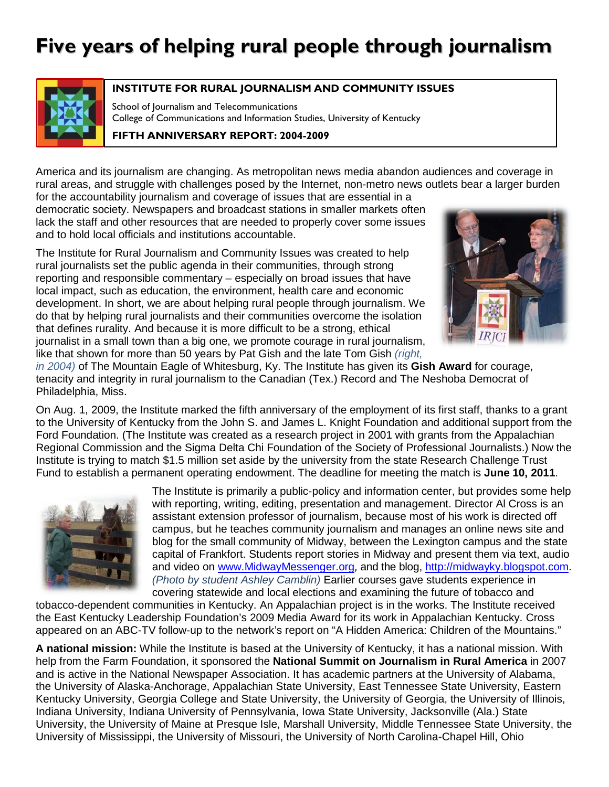

#### **INSTITUTE FOR RURAL JOURNALISM AND COMMUNITY ISSUES**

School of Journalism and Telecommunications College of Communications and Information Studies, University of Kentucky

**FIFTH ANNIVERSARY REPORT: 2004-2009**

America and its journalism are changing. As metropolitan news media abandon audiences and coverage in rural areas, and struggle with challenges posed by the Internet, non-metro news outlets bear a larger burden

for the accountability journalism and coverage of issues that are essential in a democratic society. Newspapers and broadcast stations in smaller markets often lack the staff and other resources that are needed to properly cover some issues and to hold local officials and institutions accountable.

The Institute for Rural Journalism and Community Issues was created to help rural journalists set the public agenda in their communities, through strong reporting and responsible commentary – especially on broad issues that have local impact, such as education, the environment, health care and economic development. In short, we are about helping rural people through journalism. We do that by helping rural journalists and their communities overcome the isolation that defines rurality. And because it is more difficult to be a strong, ethical journalist in a small town than a big one, we promote courage in rural journalism, like that shown for more than 50 years by Pat Gish and the late Tom Gish *(right,* 



*in 2004)* of The Mountain Eagle of Whitesburg, Ky. The Institute has given its **Gish Award** for courage, tenacity and integrity in rural journalism to the Canadian (Tex.) Record and The Neshoba Democrat of Philadelphia, Miss.

On Aug. 1, 2009, the Institute marked the fifth anniversary of the employment of its first staff, thanks to a grant to the University of Kentucky from the John S. and James L. Knight Foundation and additional support from the Ford Foundation. (The Institute was created as a research project in 2001 with grants from the Appalachian Regional Commission and the Sigma Delta Chi Foundation of the Society of Professional Journalists.) Now the Institute is trying to match \$1.5 million set aside by the university from the state Research Challenge Trust Fund to establish a permanent operating endowment. The deadline for meeting the match is **June 10, 2011**.



The Institute is primarily a public-policy and information center, but provides some help with reporting, writing, editing, presentation and management. Director Al Cross is an assistant extension professor of journalism, because most of his work is directed off campus, but he teaches community journalism and manages an online news site and blog for the small community of Midway, between the Lexington campus and the state capital of Frankfort. Students report stories in Midway and present them via text, audio and video on [www.MidwayMessenger.org](http://www.midwaymessenger.org/), and the blog, [http://midwayky.blogspot.com.](http://midwayky.blogspot.com/) *(Photo by student Ashley Camblin)* Earlier courses gave students experience in covering statewide and local elections and examining the future of tobacco and

tobacco-dependent communities in Kentucky. An Appalachian project is in the works. The Institute received the East Kentucky Leadership Foundation's 2009 Media Award for its work in Appalachian Kentucky. Cross appeared on an ABC-TV follow-up to the network's report on "A Hidden America: Children of the Mountains."

**A national mission:** While the Institute is based at the University of Kentucky, it has a national mission. With help from the Farm Foundation, it sponsored the **National Summit on Journalism in Rural America** in 2007 and is active in the National Newspaper Association. It has academic partners at the University of Alabama, the University of Alaska-Anchorage, Appalachian State University, East Tennessee State University, Eastern Kentucky University, Georgia College and State University, the University of Georgia, the University of Illinois, Indiana University, Indiana University of Pennsylvania, Iowa State University, Jacksonville (Ala.) State University, the University of Maine at Presque Isle, Marshall University, Middle Tennessee State University, the University of Mississippi, the University of Missouri, the University of North Carolina-Chapel Hill, Ohio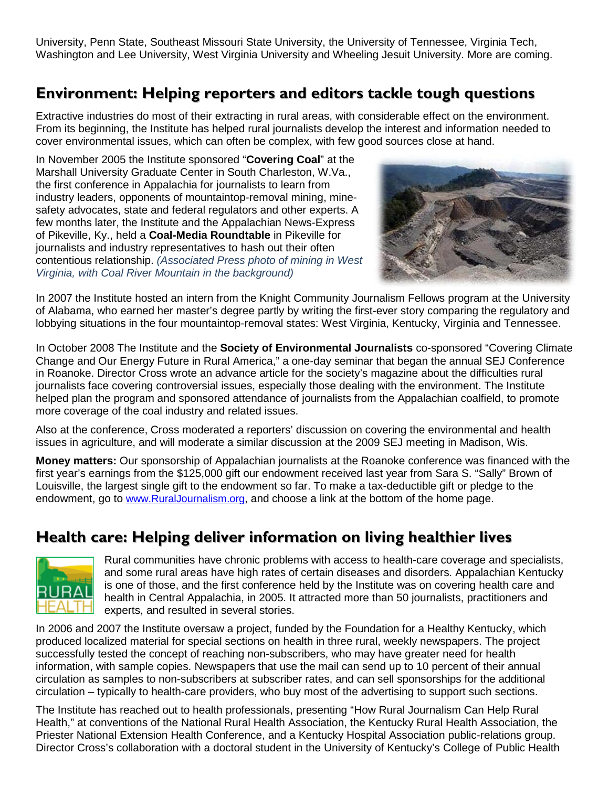University, Penn State, Southeast Missouri State University, the University of Tennessee, Virginia Tech, Washington and Lee University, West Virginia University and Wheeling Jesuit University. More are coming.

## **Environment: Helping reporters and editors tackle tough questions**

Extractive industries do most of their extracting in rural areas, with considerable effect on the environment. From its beginning, the Institute has helped rural journalists develop the interest and information needed to cover environmental issues, which can often be complex, with few good sources close at hand.

In November 2005 the Institute sponsored "**Covering Coal**" at the Marshall University Graduate Center in South Charleston, W.Va., the first conference in Appalachia for journalists to learn from industry leaders, opponents of mountaintop-removal mining, minesafety advocates, state and federal regulators and other experts. A few months later, the Institute and the Appalachian News-Express of Pikeville, Ky., held a **Coal-Media Roundtable** in Pikeville for journalists and industry representatives to hash out their often contentious relationship. *(Associated Press photo of mining in West Virginia, with Coal River Mountain in the background)*



In 2007 the Institute hosted an intern from the Knight Community Journalism Fellows program at the University of Alabama, who earned her master's degree partly by writing the first-ever story comparing the regulatory and lobbying situations in the four mountaintop-removal states: West Virginia, Kentucky, Virginia and Tennessee.

In October 2008 The Institute and the **Society of Environmental Journalists** co-sponsored "Covering Climate Change and Our Energy Future in Rural America," a one-day seminar that began the annual SEJ Conference in Roanoke. Director Cross wrote an advance article for the society's magazine about the difficulties rural journalists face covering controversial issues, especially those dealing with the environment. The Institute helped plan the program and sponsored attendance of journalists from the Appalachian coalfield, to promote more coverage of the coal industry and related issues.

Also at the conference, Cross moderated a reporters' discussion on covering the environmental and health issues in agriculture, and will moderate a similar discussion at the 2009 SEJ meeting in Madison, Wis.

**Money matters:** Our sponsorship of Appalachian journalists at the Roanoke conference was financed with the first year's earnings from the \$125,000 gift our endowment received last year from Sara S. "Sally" Brown of Louisville, the largest single gift to the endowment so far. To make a tax-deductible gift or pledge to the endowment, go to [www.RuralJournalism.org,](http://www.ruraljournalism.org/) and choose a link at the bottom of the home page.

#### **Health care: Helping deliver information on living healthier lives**



Rural communities have chronic problems with access to health-care coverage and specialists, and some rural areas have high rates of certain diseases and disorders. Appalachian Kentucky is one of those, and the first conference held by the Institute was on covering health care and health in Central Appalachia, in 2005. It attracted more than 50 journalists, practitioners and experts, and resulted in several stories.

In 2006 and 2007 the Institute oversaw a project, funded by the Foundation for a Healthy Kentucky, which produced localized material for special sections on health in three rural, weekly newspapers. The project successfully tested the concept of reaching non-subscribers, who may have greater need for health information, with sample copies. Newspapers that use the mail can send up to 10 percent of their annual circulation as samples to non-subscribers at subscriber rates, and can sell sponsorships for the additional circulation – typically to health-care providers, who buy most of the advertising to support such sections.

The Institute has reached out to health professionals, presenting "How Rural Journalism Can Help Rural Health," at conventions of the National Rural Health Association, the Kentucky Rural Health Association, the Priester National Extension Health Conference, and a Kentucky Hospital Association public-relations group. Director Cross's collaboration with a doctoral student in the University of Kentucky's College of Public Health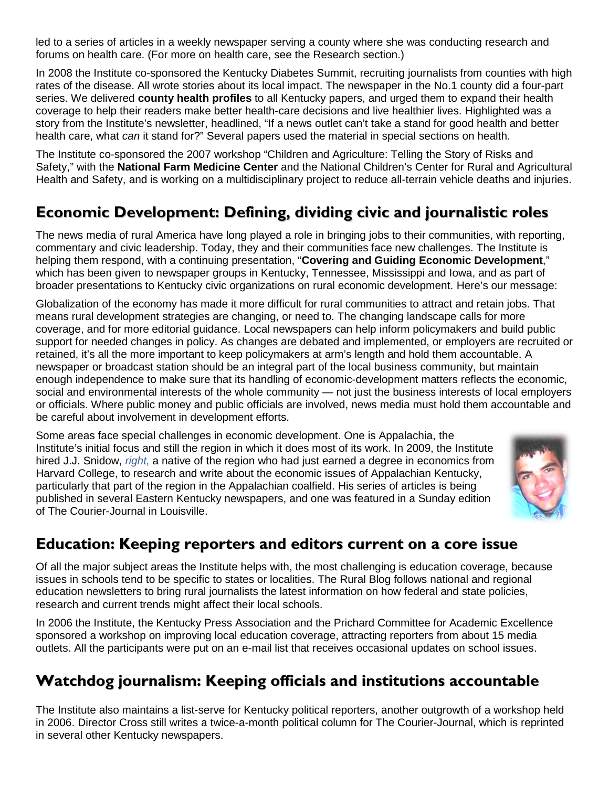led to a series of articles in a weekly newspaper serving a county where she was conducting research and forums on health care. (For more on health care, see the Research section.)

In 2008 the Institute co-sponsored the Kentucky Diabetes Summit, recruiting journalists from counties with high rates of the disease. All wrote stories about its local impact. The newspaper in the No.1 county did a four-part series. We delivered **county health profiles** to all Kentucky papers, and urged them to expand their health coverage to help their readers make better health-care decisions and live healthier lives. Highlighted was a story from the Institute's newsletter, headlined, "If a news outlet can't take a stand for good health and better health care, what *can* it stand for?" Several papers used the material in special sections on health.

The Institute co-sponsored the 2007 workshop "Children and Agriculture: Telling the Story of Risks and Safety," with the **National Farm Medicine Center** and the National Children's Center for Rural and Agricultural Health and Safety, and is working on a multidisciplinary project to reduce all-terrain vehicle deaths and injuries.

# **Economic Development: Defining, dividing civic and journalistic roles**

The news media of rural America have long played a role in bringing jobs to their communities, with reporting, commentary and civic leadership. Today, they and their communities face new challenges. The Institute is helping them respond, with a continuing presentation, "**Covering and Guiding Economic Development**," which has been given to newspaper groups in Kentucky, Tennessee, Mississippi and Iowa, and as part of broader presentations to Kentucky civic organizations on rural economic development. Here's our message:

Globalization of the economy has made it more difficult for rural communities to attract and retain jobs. That means rural development strategies are changing, or need to. The changing landscape calls for more coverage, and for more editorial guidance. Local newspapers can help inform policymakers and build public support for needed changes in policy. As changes are debated and implemented, or employers are recruited or retained, it's all the more important to keep policymakers at arm's length and hold them accountable. A newspaper or broadcast station should be an integral part of the local business community, but maintain enough independence to make sure that its handling of economic-development matters reflects the economic, social and environmental interests of the whole community — not just the business interests of local employers or officials. Where public money and public officials are involved, news media must hold them accountable and be careful about involvement in development efforts.

Some areas face special challenges in economic development. One is Appalachia, the Institute's initial focus and still the region in which it does most of its work. In 2009, the Institute hired J.J. Snidow, *right,* a native of the region who had just earned a degree in economics from Harvard College, to research and write about the economic issues of Appalachian Kentucky, particularly that part of the region in the Appalachian coalfield. His series of articles is being published in several Eastern Kentucky newspapers, and one was featured in a Sunday edition of The Courier-Journal in Louisville.



## **Education: Keeping reporters and editors current on a core issue**

Of all the major subject areas the Institute helps with, the most challenging is education coverage, because issues in schools tend to be specific to states or localities. The Rural Blog follows national and regional education newsletters to bring rural journalists the latest information on how federal and state policies, research and current trends might affect their local schools.

In 2006 the Institute, the Kentucky Press Association and the Prichard Committee for Academic Excellence sponsored a workshop on improving local education coverage, attracting reporters from about 15 media outlets. All the participants were put on an e-mail list that receives occasional updates on school issues.

## **Watchdog journalism: Keeping officials and institutions accountable**

The Institute also maintains a list-serve for Kentucky political reporters, another outgrowth of a workshop held in 2006. Director Cross still writes a twice-a-month political column for The Courier-Journal, which is reprinted in several other Kentucky newspapers.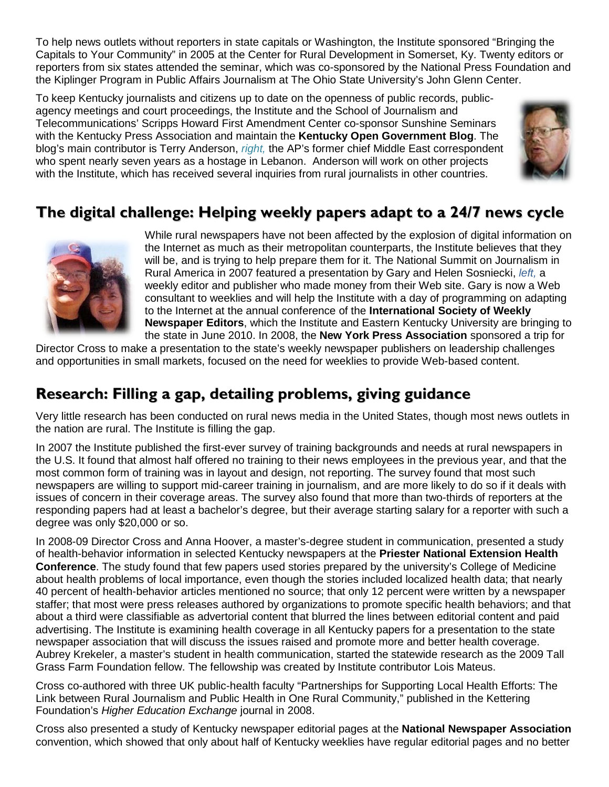To help news outlets without reporters in state capitals or Washington, the Institute sponsored "Bringing the Capitals to Your Community" in 2005 at the Center for Rural Development in Somerset, Ky. Twenty editors or reporters from six states attended the seminar, which was co-sponsored by the National Press Foundation and the Kiplinger Program in Public Affairs Journalism at The Ohio State University's John Glenn Center.

To keep Kentucky journalists and citizens up to date on the openness of public records, publicagency meetings and court proceedings, the Institute and the School of Journalism and Telecommunications' Scripps Howard First Amendment Center co-sponsor Sunshine Seminars with the Kentucky Press Association and maintain the **Kentucky Open Government Blog**. The blog's main contributor is Terry Anderson, *right,* the AP's former chief Middle East correspondent who spent nearly seven years as a hostage in Lebanon. Anderson will work on other projects with the Institute, which has received several inquiries from rural journalists in other countries.



## **The digital challenge: Helping weekly papers adapt to a 24/7 news cycle**



While rural newspapers have not been affected by the explosion of digital information on the Internet as much as their metropolitan counterparts, the Institute believes that they will be, and is trying to help prepare them for it. The National Summit on Journalism in Rural America in 2007 featured a presentation by Gary and Helen Sosniecki, *left,* a weekly editor and publisher who made money from their Web site. Gary is now a Web consultant to weeklies and will help the Institute with a day of programming on adapting to the Internet at the annual conference of the **International Society of Weekly Newspaper Editors**, which the Institute and Eastern Kentucky University are bringing to the state in June 2010. In 2008, the **New York Press Association** sponsored a trip for

Director Cross to make a presentation to the state's weekly newspaper publishers on leadership challenges and opportunities in small markets, focused on the need for weeklies to provide Web-based content.

## **Research: Filling a gap, detailing problems, giving guidance**

Very little research has been conducted on rural news media in the United States, though most news outlets in the nation are rural. The Institute is filling the gap.

In 2007 the Institute published the first-ever survey of training backgrounds and needs at rural newspapers in the U.S. It found that almost half offered no training to their news employees in the previous year, and that the most common form of training was in layout and design, not reporting. The survey found that most such newspapers are willing to support mid-career training in journalism, and are more likely to do so if it deals with issues of concern in their coverage areas. The survey also found that more than two-thirds of reporters at the responding papers had at least a bachelor's degree, but their average starting salary for a reporter with such a degree was only \$20,000 or so.

In 2008-09 Director Cross and Anna Hoover, a master's-degree student in communication, presented a study of health-behavior information in selected Kentucky newspapers at the **Priester National Extension Health Conference**. The study found that few papers used stories prepared by the university's College of Medicine about health problems of local importance, even though the stories included localized health data; that nearly 40 percent of health-behavior articles mentioned no source; that only 12 percent were written by a newspaper staffer; that most were press releases authored by organizations to promote specific health behaviors; and that about a third were classifiable as advertorial content that blurred the lines between editorial content and paid advertising. The Institute is examining health coverage in all Kentucky papers for a presentation to the state newspaper association that will discuss the issues raised and promote more and better health coverage. Aubrey Krekeler, a master's student in health communication, started the statewide research as the 2009 Tall Grass Farm Foundation fellow. The fellowship was created by Institute contributor Lois Mateus.

Cross co-authored with three UK public-health faculty "Partnerships for Supporting Local Health Efforts: The Link between Rural Journalism and Public Health in One Rural Community," published in the Kettering Foundation's *Higher Education Exchange* journal in 2008.

Cross also presented a study of Kentucky newspaper editorial pages at the **National Newspaper Association** convention, which showed that only about half of Kentucky weeklies have regular editorial pages and no better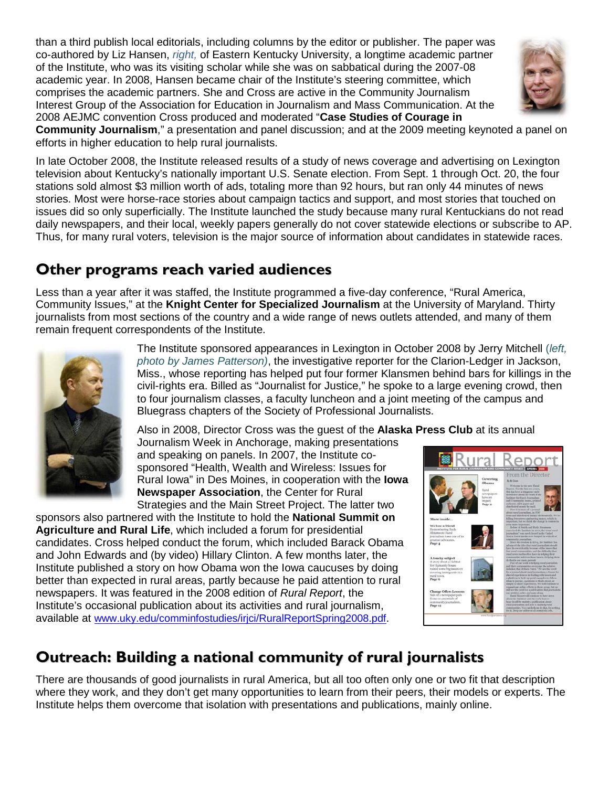than a third publish local editorials, including columns by the editor or publisher. The paper was co-authored by Liz Hansen, *right,* of Eastern Kentucky University, a longtime academic partner of the Institute, who was its visiting scholar while she was on sabbatical during the 2007-08 academic year. In 2008, Hansen became chair of the Institute's steering committee, which comprises the academic partners. She and Cross are active in the Community Journalism Interest Group of the Association for Education in Journalism and Mass Communication. At the 2008 AEJMC convention Cross produced and moderated "**Case Studies of Courage in** 



**Community Journalism**," a presentation and panel discussion; and at the 2009 meeting keynoted a panel on efforts in higher education to help rural journalists.

In late October 2008, the Institute released results of a study of news coverage and advertising on Lexington television about Kentucky's nationally important U.S. Senate election. From Sept. 1 through Oct. 20, the four stations sold almost \$3 million worth of ads, totaling more than 92 hours, but ran only 44 minutes of news stories. Most were horse-race stories about campaign tactics and support, and most stories that touched on issues did so only superficially. The Institute launched the study because many rural Kentuckians do not read daily newspapers, and their local, weekly papers generally do not cover statewide elections or subscribe to AP. Thus, for many rural voters, television is the major source of information about candidates in statewide races.

#### **Other programs reach varied audiences**

Less than a year after it was staffed, the Institute programmed a five-day conference, "Rural America, Community Issues," at the **Knight Center for Specialized Journalism** at the University of Maryland. Thirty journalists from most sections of the country and a wide range of news outlets attended, and many of them remain frequent correspondents of the Institute.



The Institute sponsored appearances in Lexington in October 2008 by Jerry Mitchell (*left, photo by James Patterson)*, the investigative reporter for the Clarion-Ledger in Jackson, Miss., whose reporting has helped put four former Klansmen behind bars for killings in the civil-rights era. Billed as "Journalist for Justice," he spoke to a large evening crowd, then to four journalism classes, a faculty luncheon and a joint meeting of the campus and Bluegrass chapters of the Society of Professional Journalists.

Also in 2008, Director Cross was the guest of the **Alaska Press Club** at its annual

Journalism Week in Anchorage, making presentations and speaking on panels. In 2007, the Institute cosponsored "Health, Wealth and Wireless: Issues for Rural Iowa" in Des Moines, in cooperation with the **Iowa Newspaper Association**, the Center for Rural Strategies and the Main Street Project. The latter two

sponsors also partnered with the Institute to hold the **National Summit on Agriculture and Rural Life**, which included a forum for presidential candidates. Cross helped conduct the forum, which included Barack Obama and John Edwards and (by video) Hillary Clinton. A few months later, the Institute published a story on how Obama won the Iowa caucuses by doing better than expected in rural areas, partly because he paid attention to rural newspapers. It was featured in the 2008 edition of *Rural Report*, the Institute's occasional publication about its activities and rural journalism, available at [www.uky.edu/comminfostudies/irjci/RuralReportSpring2008.pdf.](http://www.uky.edu/comminfostudies/irjci/RuralReportSpring2008.pdf)



# **Outreach: Building a national community of rural journalists**

There are thousands of good journalists in rural America, but all too often only one or two fit that description where they work, and they don't get many opportunities to learn from their peers, their models or experts. The Institute helps them overcome that isolation with presentations and publications, mainly online.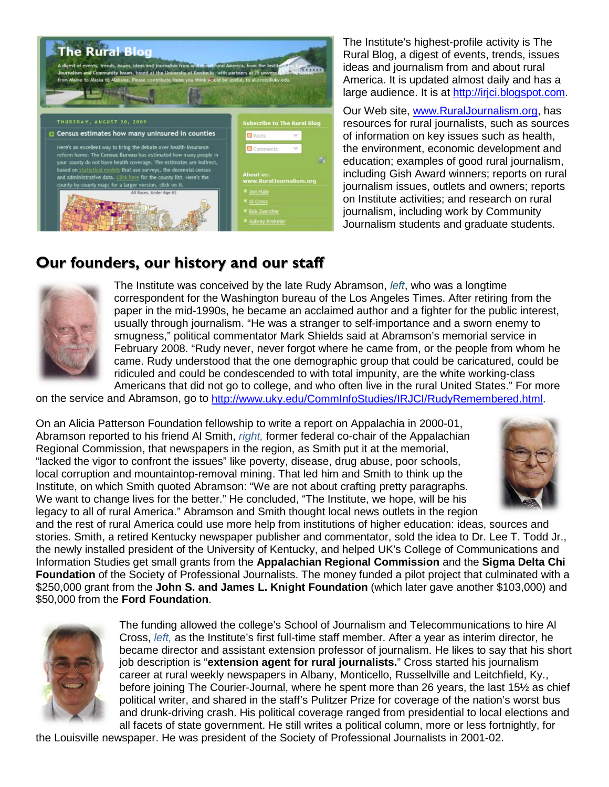

The Institute's highest-profile activity is The Rural Blog, a digest of events, trends, issues ideas and journalism from and about rural America. It is updated almost daily and has a large audience. It is at [http://irjci.blogspot.com.](http://irjci.blogspot.com/)

Our Web site, [www.RuralJournalism.org,](http://www.ruraljournalism.org/) has resources for rural journalists, such as sources of information on key issues such as health, the environment, economic development and education; examples of good rural journalism, including Gish Award winners; reports on rural journalism issues, outlets and owners; reports on Institute activities; and research on rural journalism, including work by Community Journalism students and graduate students.

#### **Our founders, our history and our staff**



The Institute was conceived by the late Rudy Abramson, *left*, who was a longtime correspondent for the Washington bureau of the Los Angeles Times. After retiring from the paper in the mid-1990s, he became an acclaimed author and a fighter for the public interest, usually through journalism. "He was a stranger to self-importance and a sworn enemy to smugness," political commentator Mark Shields said at Abramson's memorial service in February 2008. "Rudy never, never forgot where he came from, or the people from whom he came. Rudy understood that the one demographic group that could be caricatured, could be ridiculed and could be condescended to with total impunity, are the white working-class Americans that did not go to college, and who often live in the rural United States." For more

on the service and Abramson, go to [http://www.uky.edu/CommInfoStudies/IRJCI/RudyRemembered.html.](http://www.uky.edu/CommInfoStudies/IRJCI/RudyRemembered.html)

On an Alicia Patterson Foundation fellowship to write a report on Appalachia in 2000-01, Abramson reported to his friend Al Smith, *right,* former federal co-chair of the Appalachian Regional Commission, that newspapers in the region, as Smith put it at the memorial, "lacked the vigor to confront the issues" like poverty, disease, drug abuse, poor schools, local corruption and mountaintop-removal mining. That led him and Smith to think up the Institute, on which Smith quoted Abramson: "We are not about crafting pretty paragraphs. We want to change lives for the better." He concluded, "The Institute, we hope, will be his legacy to all of rural America." Abramson and Smith thought local news outlets in the region



and the rest of rural America could use more help from institutions of higher education: ideas, sources and stories. Smith, a retired Kentucky newspaper publisher and commentator, sold the idea to Dr. Lee T. Todd Jr., the newly installed president of the University of Kentucky, and helped UK's College of Communications and Information Studies get small grants from the **Appalachian Regional Commission** and the **Sigma Delta Chi Foundation** of the Society of Professional Journalists. The money funded a pilot project that culminated with a \$250,000 grant from the **John S. and James L. Knight Foundation** (which later gave another \$103,000) and \$50,000 from the **Ford Foundation**.



The funding allowed the college's School of Journalism and Telecommunications to hire Al Cross, *left,* as the Institute's first full-time staff member. After a year as interim director, he became director and assistant extension professor of journalism. He likes to say that his short job description is "**extension agent for rural journalists.**" Cross started his journalism career at rural weekly newspapers in Albany, Monticello, Russellville and Leitchfield, Ky., before joining The Courier-Journal, where he spent more than 26 years, the last 15½ as chief political writer, and shared in the staff's Pulitzer Prize for coverage of the nation's worst bus and drunk-driving crash. His political coverage ranged from presidential to local elections and all facets of state government. He still writes a political column, more or less fortnightly, for

the Louisville newspaper. He was president of the Society of Professional Journalists in 2001-02.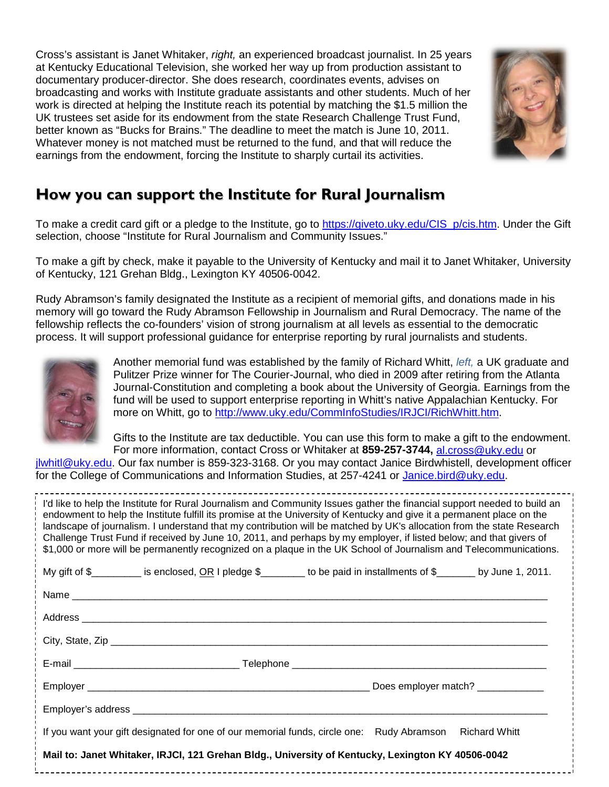Cross's assistant is Janet Whitaker, *right,* an experienced broadcast journalist. In 25 years at Kentucky Educational Television, she worked her way up from production assistant to documentary producer-director. She does research, coordinates events, advises on broadcasting and works with Institute graduate assistants and other students. Much of her work is directed at helping the Institute reach its potential by matching the \$1.5 million the UK trustees set aside for its endowment from the state Research Challenge Trust Fund, better known as "Bucks for Brains." The deadline to meet the match is June 10, 2011. Whatever money is not matched must be returned to the fund, and that will reduce the earnings from the endowment, forcing the Institute to sharply curtail its activities.



#### **How you can support the Institute for Rural Journalism**

To make a credit card gift or a pledge to the Institute, go to [https://giveto.uky.edu/CIS\\_p/cis.htm.](https://giveto.uky.edu/CIS_p/cis.htm) Under the Gift selection, choose "Institute for Rural Journalism and Community Issues."

To make a gift by check, make it payable to the University of Kentucky and mail it to Janet Whitaker, University of Kentucky, 121 Grehan Bldg., Lexington KY 40506-0042.

Rudy Abramson's family designated the Institute as a recipient of memorial gifts, and donations made in his memory will go toward the Rudy Abramson Fellowship in Journalism and Rural Democracy. The name of the fellowship reflects the co-founders' vision of strong journalism at all levels as essential to the democratic process. It will support professional guidance for enterprise reporting by rural journalists and students.



Another memorial fund was established by the family of Richard Whitt, *left,* a UK graduate and Pulitzer Prize winner for The Courier-Journal, who died in 2009 after retiring from the Atlanta Journal-Constitution and completing a book about the University of Georgia. Earnings from the fund will be used to support enterprise reporting in Whitt's native Appalachian Kentucky. For more on Whitt, go to [http://www.uky.edu/CommInfoStudies/IRJCI/RichWhitt.htm.](http://www.uky.edu/CommInfoStudies/IRJCI/RichWhitt.htm)

Gifts to the Institute are tax deductible. You can use this form to make a gift to the endowment. For more information, contact Cross or Whitaker at **859-257-3744,** [al.cross@uky.edu](mailto:al.cross@uky.edu) or

[jlwhitl@uky.edu.](mailto:jlwhitl@uky.edu) Our fax number is 859-323-3168. Or you may contact Janice Birdwhistell, development officer for the College of Communications and Information Studies, at 257-4241 or [Janice.bird@uky.edu.](mailto:Janice.bird@uky.edu)

I'd like to help the Institute for Rural Journalism and Community Issues gather the financial support needed to build an

endowment to help the Institute fulfill its promise at the University of Kentucky and give it a permanent place on the landscape of journalism. I understand that my contribution will be matched by UK's allocation from the state Research Challenge Trust Fund if received by June 10, 2011, and perhaps by my employer, if listed below; and that givers of \$1,000 or more will be permanently recognized on a plaque in the UK School of Journalism and Telecommunications. My gift of  $\frac{1}{2}$  is enclosed, OR I pledge  $\frac{1}{2}$  to be paid in installments of  $\frac{1}{2}$  by June 1, 2011.

| If you want your gift designated for one of our memorial funds, circle one: Rudy Abramson Richard Whitt |  |
|---------------------------------------------------------------------------------------------------------|--|
| Mail to: Janet Whitaker, IRJCI, 121 Grehan Bldg., University of Kentucky, Lexington KY 40506-0042       |  |